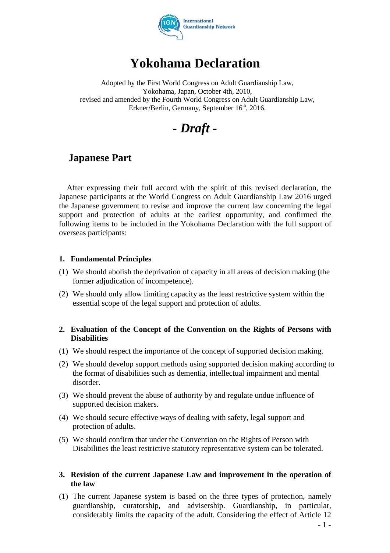

# **Yokohama Declaration**

Adopted by the First World Congress on Adult Guardianship Law, Yokohama, Japan, October 4th, 2010, revised and amended by the Fourth World Congress on Adult Guardianship Law, Erkner/Berlin, Germany, September 16<sup>th</sup>, 2016.

*- Draft -*

## **Japanese Part**

After expressing their full accord with the spirit of this revised declaration, the Japanese participants at the World Congress on Adult Guardianship Law 2016 urged the Japanese government to revise and improve the current law concerning the legal support and protection of adults at the earliest opportunity, and confirmed the following items to be included in the Yokohama Declaration with the full support of overseas participants:

### **1. Fundamental Principles**

- (1) We should abolish the deprivation of capacity in all areas of decision making (the former adjudication of incompetence).
- (2) We should only allow limiting capacity as the least restrictive system within the essential scope of the legal support and protection of adults.

### **2. Evaluation of the Concept of the Convention on the Rights of Persons with Disabilities**

- (1) We should respect the importance of the concept of supported decision making.
- (2) We should develop support methods using supported decision making according to the format of disabilities such as dementia, intellectual impairment and mental disorder.
- (3) We should prevent the abuse of authority by and regulate undue influence of supported decision makers.
- (4) We should secure effective ways of dealing with safety, legal support and protection of adults.
- (5) We should confirm that under the Convention on the Rights of Person with Disabilities the least restrictive statutory representative system can be tolerated.

### **3. Revision of the current Japanese Law and improvement in the operation of the law**

(1) The current Japanese system is based on the three types of protection, namely guardianship, curatorship, and advisership. Guardianship, in particular, considerably limits the capacity of the adult. Considering the effect of Article 12